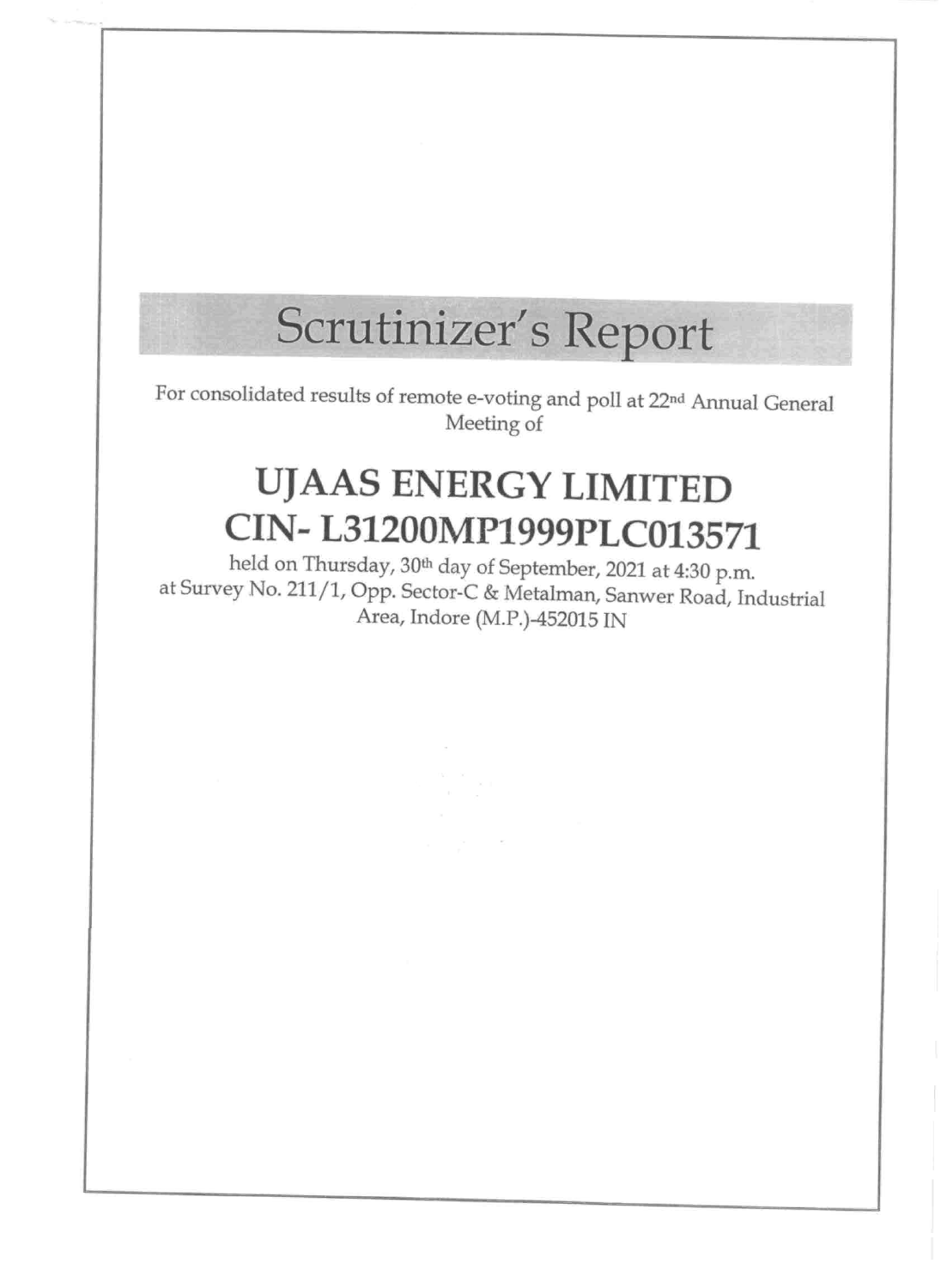#### **Le Mariano**

# Scrutinizer's Report

For consolidated results of remote e-voting and poll at 22<sup>nd</sup> Annual General Meeting of

### UJAAS ENERGY LIMITED

## CIN-L31200MP1999PLC013571

held on Thursday, 30<sup>th</sup> day of September, 2021 at 4:30 p.m. at Survey No. 211/1, Opp. Sector-C & Metalman, Sanwer Road, Industrial Area, Indore (M.P.)-452015 IN

**IN XX** 

 $\mathcal{A}^{\mathcal{A}}_{\mathcal{A}}$  ,  $\mathcal{A}^{\mathcal{A}}_{\mathcal{A}}$  ,  $\mathcal{A}^{\mathcal{A}}_{\mathcal{A}}$  , and  $\mathcal{A}^{\mathcal{A}}_{\mathcal{A}}$ 

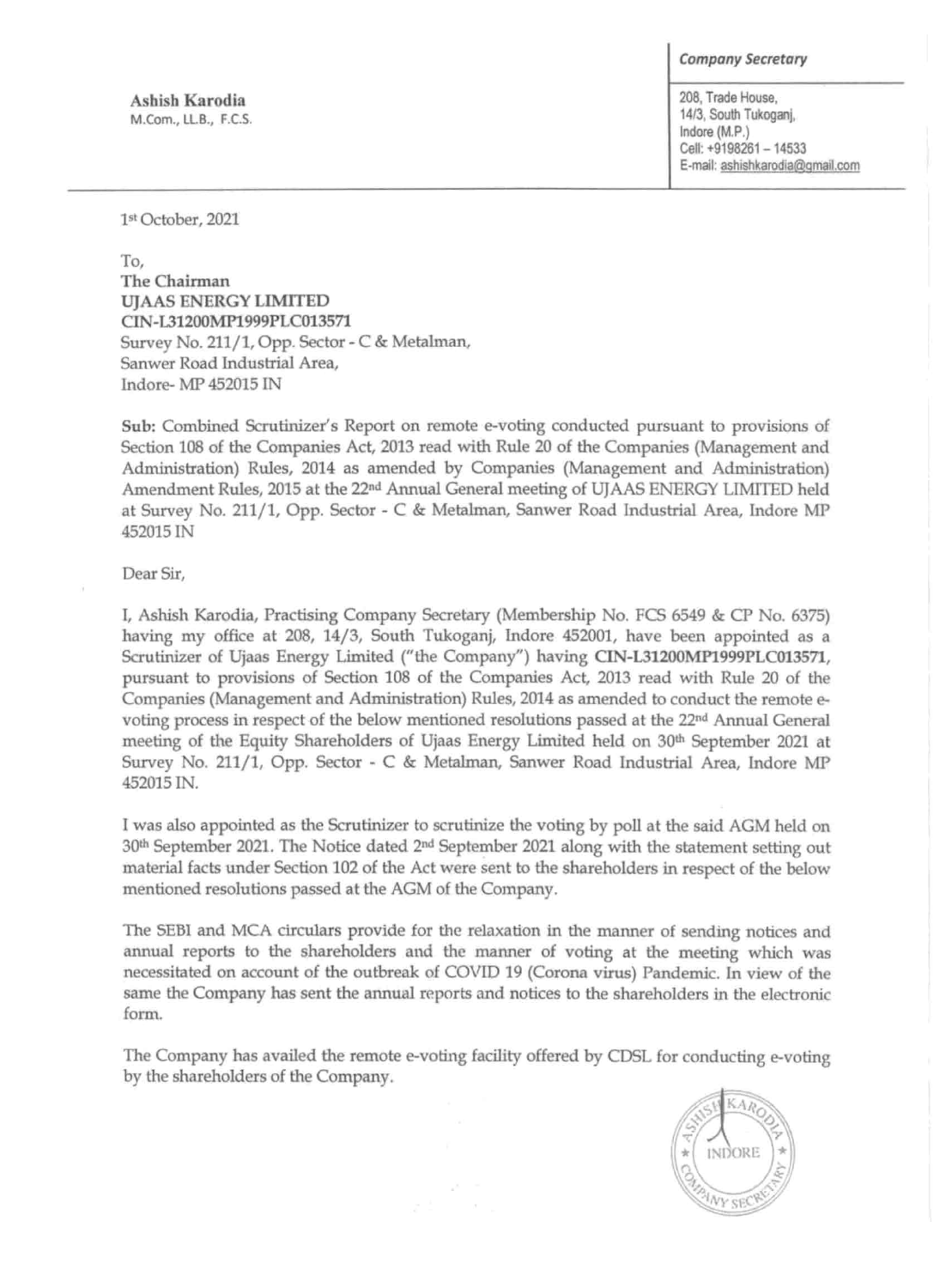1st October, 2021

To, The Chairman UJAAS ENERGY LIMITED CIN-L31200MP1999PLC013571 Survey No. 211/1, Opp. Sector - C & Metalman, Sanwer Road Industrial Area, Indore- MP 452015 IN

|                                         | <b>Company Secretary</b>                                                                                                 |
|-----------------------------------------|--------------------------------------------------------------------------------------------------------------------------|
| Ashish Karodia<br>M.Com., LL.B., F.C.S. | 208, Trade House,<br>14/3, South Tukoganj,<br>Indore (M.P.)<br>Cell: +9198261 - 14533<br>E-mail: ashishkarodia@gmail.com |

Sub: Combined Scrutinizer's Report on remote e-voting conducted pursuant to provisions of Section 108 of the Companies Act, 2013 read with Rule 20 of the Companies (Management and Administration) RuIes, 2014 as amended by Companies (Management and Administration) Amendment Rules, 2015 at the 22nd Annual General meeting of UJAAS ENERGY LIMITED held

at Survey No. 211/1, Opp. Sector - C & Metalman, Sanwer Road Industrial Area, Indore MP 452015 IN

Dear Sir,

I, Ashish Karodia, Practising Company Secretary (Membership No. FCS 6549 & CP No. 6375) having my office at 208, 14/3, South Tukoganj, Indore 452001, have been appointed as a Scrutinizer of Ujaas Energy Limited ("the Company") having CIN-L31200MP1999PLC013571, pursuant to provisions of Section 108 of the Companies Act, 2013 read with Rule 20 of the Companies (Management and Administration) Rules, 2014 as amended to conduct the remote evoting process in respect of the below mentioned resolutions passed at the 22nd Annual General meeting of the Equity Shareholders of Ujaas Energy Limited held on 30<sup>th</sup> September 2021 at Survey No. 211/1, Opp. Sector - C & Metalman, Sanwer Road Industrial Area, Indore MP 452015 IN.

I was also appointed as the Scrutinizer to scrutinize the voting by poll at the said AGM held on 30<sup>th</sup> September 2021. The Notice dated 2<sup>nd</sup> September 2021 along with the statement setting out material facts under Section 102 of the Act were sent to the shareholders in respect of the below mentioned resolutions passed at the AGM of the Company.

The SEBI and MCA circulars provide for the relaxation in the manner of sending notices and annual reports to the shareholders and the manner of voting at the meeting which was necessitated on account of the outbreak of COVID 19 (Corona virus) Pandemic. In view of the same the Company has sent the annual reports and notices to the shareholders in the electronic form.

The Company has availed the remote e-voting facility offered by COSL for conducting e-voting by the shareholders of the Company.

and a more

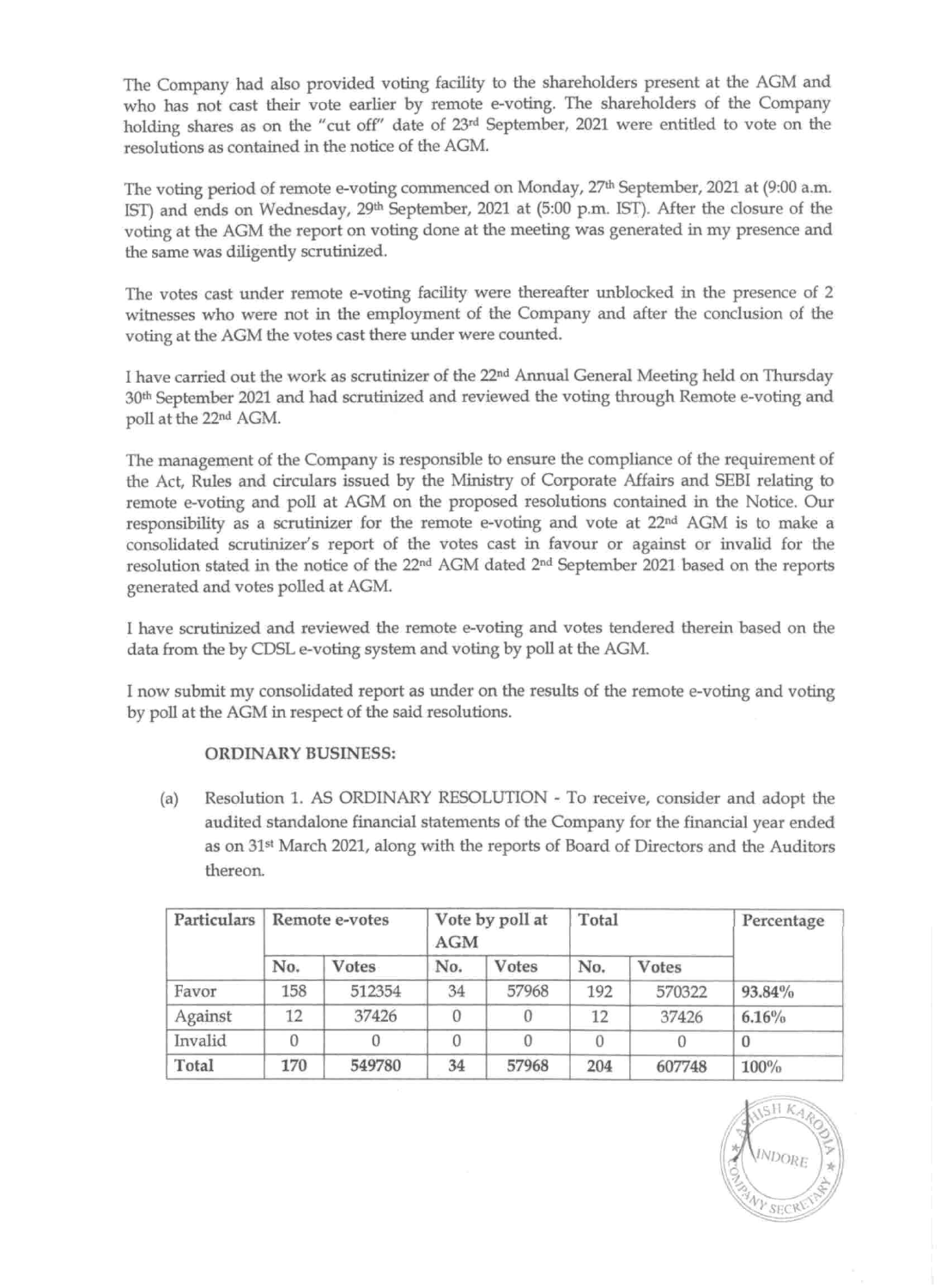The Company had also provided voting facility to the shareholders present at the AGM and who has not cast their vote earlier by remote e-voting. The shareholders of the Company holding shares as on the "cut off" date of 23rd September, 2021 were entitled to vote on the resolutions as contained in the notice of the AGM.

The votes cast under remote e-voting facility were thereafter unblocked in the presence of 2 witnesses who were not in the employment of the Company and after the conclusion of the voting at the AGM the votes cast there under were counted.

The voting period of remote e-voting commenced on Monday, 27th September, 2021 at (9:00 a.m. 1ST) and ends on Wednesday, 29th September, 2021 at (5:00 p.m. 1ST). After the closure of the voting at the AGM the report on voting done at the meeting was generated in my presence and the same was diligently scrutinized.

I have carried out the work as scrutinizer of the 22nd Annual General Meeting held on Thursday 30th September 2021 and had scrutinized and reviewed the voting through Remote e-voting and poll at the 22nd AGM.

The management of the Company is responsible to ensure the compliance of the requirement of the Act, Rules and circulars issued by the Ministry of Corporate Affairs and SEBI relating to remote e-voting and poll at AGM on the proposed resolutions contained in the Notice. Our responsibility as a scrutinizer for the remote e-voting and vote at 22nd AGM is to make a consolidated scrutinizer's report of the votes cast in favour or against or invalid for the resolution stated in the notice of the 22nd AGM dated 2nd September 2021 based on the reports generated and votes polled at AGM.

I have scrutinized and reviewed the remote e-voting and votes tendered therein based on the data from the by CDSL e-voting system and voting by poll at the AGM.

I now submit my consolidated report as under on the results of the remote e-voting and voting by poll at the AGM in respect of the said resolutions.

#### ORDINARY BUSINESS:

(a) Resolution 1. AS ORDINARY RESOLUTION - To receive, consider and adopt the audited standalone financial statements of the Company for the financial year ended as on 31<sup>st</sup> March 2021, along with the reports of Board of Directors and the Auditors thereon.

| Particulars | Remote e-votes |        | Vote by poll at<br><b>AGM</b> |       | Total |        | Percentage |
|-------------|----------------|--------|-------------------------------|-------|-------|--------|------------|
|             | No.            | Votes  | No.                           | Votes | No.   | Votes  |            |
| Favor       | 158            | 512354 | 34                            | 57968 | 192   | 570322 | 93.84%     |
| Against     | 12             | 37426  | 0                             | 0     | 12    | 37426  | 6.16%      |
| Invalid     | 0              |        | 0                             | 0     |       |        | $\bf{0}$   |
| Total       | 170            | 549780 | 34                            | 57968 | 204   | 607748 | 100%       |